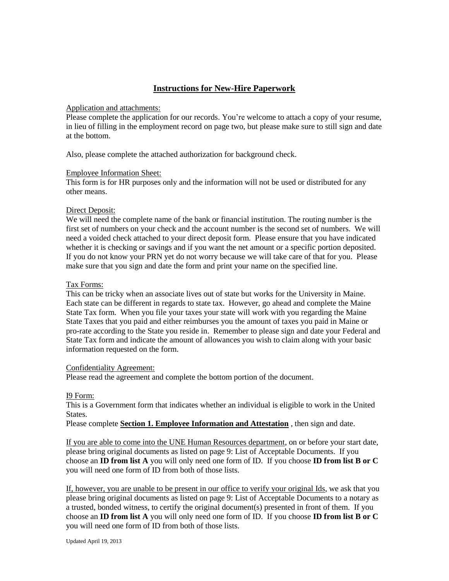# **Instructions for New-Hire Paperwork**

#### Application and attachments:

Please complete the application for our records. You're welcome to attach a copy of your resume, in lieu of filling in the employment record on page two, but please make sure to still sign and date at the bottom.

Also, please complete the attached authorization for background check.

#### Employee Information Sheet:

This form is for HR purposes only and the information will not be used or distributed for any other means.

#### Direct Deposit:

We will need the complete name of the bank or financial institution. The routing number is the first set of numbers on your check and the account number is the second set of numbers. We will need a voided check attached to your direct deposit form. Please ensure that you have indicated whether it is checking or savings and if you want the net amount or a specific portion deposited. If you do not know your PRN yet do not worry because we will take care of that for you. Please make sure that you sign and date the form and print your name on the specified line.

# Tax Forms:

This can be tricky when an associate lives out of state but works for the University in Maine. Each state can be different in regards to state tax. However, go ahead and complete the Maine State Tax form. When you file your taxes your state will work with you regarding the Maine State Taxes that you paid and either reimburses you the amount of taxes you paid in Maine or pro-rate according to the State you reside in. Remember to please sign and date your Federal and State Tax form and indicate the amount of allowances you wish to claim along with your basic information requested on the form.

# Confidentiality Agreement:

Please read the agreement and complete the bottom portion of the document.

# I9 Form:

This is a Government form that indicates whether an individual is eligible to work in the United States.

Please complete **Section 1. Employee Information and Attestation** , then sign and date.

If you are able to come into the UNE Human Resources department, on or before your start date, please bring original documents as listed on page 9: List of Acceptable Documents. If you choose an **ID from list A** you will only need one form of ID. If you choose **ID from list B or C** you will need one form of ID from both of those lists.

If, however, you are unable to be present in our office to verify your original Ids, we ask that you please bring original documents as listed on page 9: List of Acceptable Documents to a notary as a trusted, bonded witness, to certify the original document(s) presented in front of them. If you choose an **ID from list A** you will only need one form of ID. If you choose **ID from list B or C** you will need one form of ID from both of those lists.